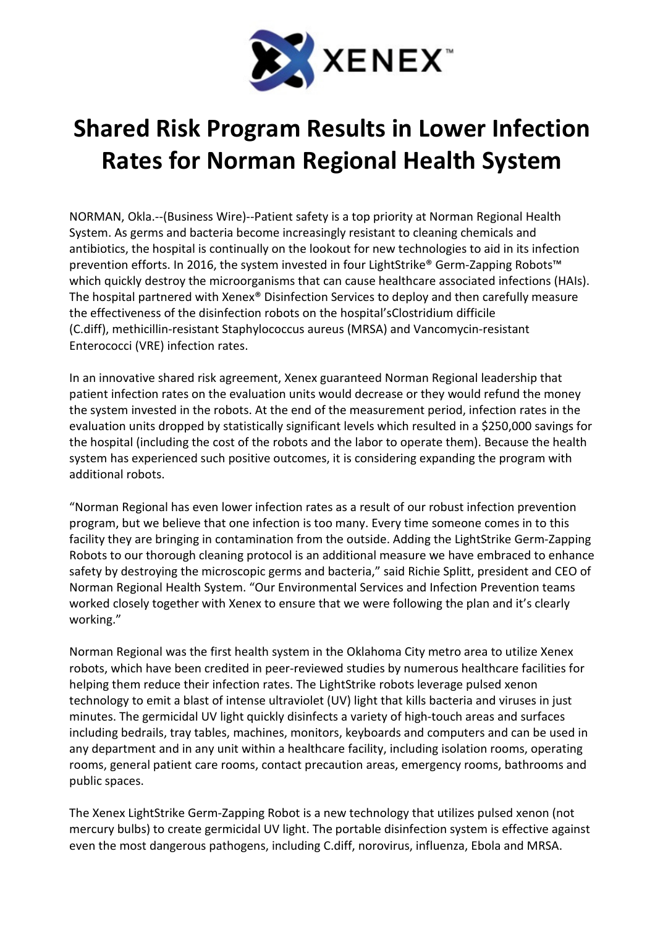

## Shared Risk Program Results in Lower Infection Rates for Norman Regional Health System

NORMAN, Okla.--(Business Wire)--Patient safety is a top priority at Norman Regional Health System. As germs and bacteria become increasingly resistant to cleaning chemicals and antibiotics, the hospital is continually on the lookout for new technologies to aid in its infection prevention efforts. In 2016, the system invested in four LightStrike® Germ-Zapping Robots™ which quickly destroy the microorganisms that can cause healthcare associated infections (HAIs). The hospital partnered with Xenex® Disinfection Services to deploy and then carefully measure the effectiveness of the disinfection robots on the hospital'sClostridium difficile (C.diff), methicillin-resistant Staphylococcus aureus (MRSA) and Vancomycin-resistant Enterococci (VRE) infection rates.

In an innovative shared risk agreement, Xenex guaranteed Norman Regional leadership that patient infection rates on the evaluation units would decrease or they would refund the money the system invested in the robots. At the end of the measurement period, infection rates in the evaluation units dropped by statistically significant levels which resulted in a \$250,000 savings for the hospital (including the cost of the robots and the labor to operate them). Because the health system has experienced such positive outcomes, it is considering expanding the program with additional robots.

"Norman Regional has even lower infection rates as a result of our robust infection prevention program, but we believe that one infection is too many. Every time someone comes in to this facility they are bringing in contamination from the outside. Adding the LightStrike Germ-Zapping Robots to our thorough cleaning protocol is an additional measure we have embraced to enhance safety by destroying the microscopic germs and bacteria," said Richie Splitt, president and CEO of Norman Regional Health System. "Our Environmental Services and Infection Prevention teams worked closely together with Xenex to ensure that we were following the plan and it's clearly working."

Norman Regional was the first health system in the Oklahoma City metro area to utilize Xenex robots, which have been credited in peer-reviewed studies by numerous healthcare facilities for helping them reduce their infection rates. The LightStrike robots leverage pulsed xenon technology to emit a blast of intense ultraviolet (UV) light that kills bacteria and viruses in just minutes. The germicidal UV light quickly disinfects a variety of high-touch areas and surfaces including bedrails, tray tables, machines, monitors, keyboards and computers and can be used in any department and in any unit within a healthcare facility, including isolation rooms, operating rooms, general patient care rooms, contact precaution areas, emergency rooms, bathrooms and public spaces.

The Xenex LightStrike Germ-Zapping Robot is a new technology that utilizes pulsed xenon (not mercury bulbs) to create germicidal UV light. The portable disinfection system is effective against even the most dangerous pathogens, including C.diff, norovirus, influenza, Ebola and MRSA.